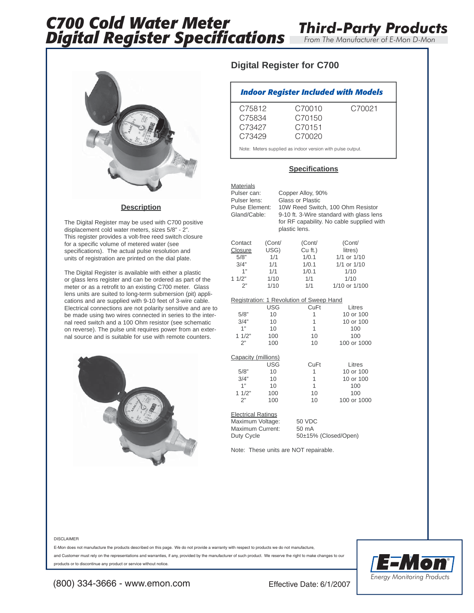

### **Description**

The Digital Register may be used with C700 positive displacement cold water meters, sizes 5/8" - 2". This register provides a volt-free reed switch closure for a specific volume of metered water (see specifications). The actual pulse resolution and units of registration are printed on the dial plate.

The Digital Register is available with either a plastic or glass lens register and can be ordered as part of the meter or as a retrofit to an existing C700 meter. Glass lens units are suited to long-term submersion (pit) applications and are supplied with 9-10 feet of 3-wire cable. Electrical connections are not polarity sensitive and are to be made using two wires connected in series to the internal reed switch and a 100 Ohm resistor (see schematic on reverse). The pulse unit requires power from an external source and is suitable for use with remote counters.



## **Digital Register for C700**

| <b>Indoor Register Included with Models</b> |                  |        |  |  |  |  |  |
|---------------------------------------------|------------------|--------|--|--|--|--|--|
| C75812<br>C75834                            | C70010<br>C70150 | C70021 |  |  |  |  |  |
| C73427<br>C73429                            | C70151<br>C70020 |        |  |  |  |  |  |

*Third-Party Products*

Note: Meters supplied as indoor version with pulse output.

### **Specifications**

| <b>Materials</b><br>Pulser can:<br>Pulser lens:<br>Pulse Element:<br>Gland/Cable: |            | Copper Alloy, 90%<br>Glass or Plastic<br>plastic lens. | 10W Reed Switch, 100 Ohm Resistor<br>9-10 ft. 3-Wire standard with glass lens<br>for RF capability. No cable supplied with |  |  |  |  |  |
|-----------------------------------------------------------------------------------|------------|--------------------------------------------------------|----------------------------------------------------------------------------------------------------------------------------|--|--|--|--|--|
| Contact                                                                           | (Cont/     | (Cont/                                                 | (Cont/                                                                                                                     |  |  |  |  |  |
| Closure                                                                           | USG)       | Cu ft.)                                                | litres)                                                                                                                    |  |  |  |  |  |
| 5/8"                                                                              | 1/1        | 1/0.1                                                  | 1/1 or 1/10                                                                                                                |  |  |  |  |  |
| 3/4"                                                                              | 1/1        | 1/0.1                                                  | 1/1 or 1/10                                                                                                                |  |  |  |  |  |
| 1"                                                                                | 1/1        | 1/0.1                                                  | 1/10                                                                                                                       |  |  |  |  |  |
| 11/2"                                                                             | 1/10       | 1/1                                                    | 1/10                                                                                                                       |  |  |  |  |  |
| 2"                                                                                | 1/10       | 1/1                                                    | 1/10 or 1/100                                                                                                              |  |  |  |  |  |
| Registration: 1 Revolution of Sweep Hand                                          |            |                                                        |                                                                                                                            |  |  |  |  |  |
|                                                                                   | <b>USG</b> | CuFt                                                   | Litres                                                                                                                     |  |  |  |  |  |
| 5/8"                                                                              | 10         | 1                                                      | 10 or 100                                                                                                                  |  |  |  |  |  |
| 3/4"                                                                              | 10         | 1                                                      | 10 or 100                                                                                                                  |  |  |  |  |  |
| 1"                                                                                | 10         | 1                                                      | 100                                                                                                                        |  |  |  |  |  |
| 11/2"                                                                             | 100        | 10                                                     | 100                                                                                                                        |  |  |  |  |  |
| 2"                                                                                | 100        | 10                                                     | 100 or 1000                                                                                                                |  |  |  |  |  |
| Capacity (millions)                                                               |            |                                                        |                                                                                                                            |  |  |  |  |  |
|                                                                                   | USG        | CuFt                                                   | Litres                                                                                                                     |  |  |  |  |  |
| 5/8"                                                                              | 10         | 1                                                      | 10 or 100                                                                                                                  |  |  |  |  |  |
| 3/4"                                                                              | 10         | 1                                                      | 10 or 100                                                                                                                  |  |  |  |  |  |
| 1"                                                                                | 10         | 1                                                      | 100                                                                                                                        |  |  |  |  |  |
| 11/2"                                                                             | 100        | 10                                                     | 100                                                                                                                        |  |  |  |  |  |
| 2"                                                                                | 100        | 10                                                     | 100 or 1000                                                                                                                |  |  |  |  |  |
| <b>Electrical Ratings</b><br>Maximum Voltage:<br>Maximum Current:<br>Duty Cycle   |            | 50 VDC<br>$50 \text{ mA}$<br>50±15% (Closed/Open)      |                                                                                                                            |  |  |  |  |  |

Note: These units are NOT repairable.

#### DISCLAIMER

E-Mon does not manufacture the products described on this page. We do not provide a warranty with respect to products we do not manufacture,

and Customer must rely on the representations and warranties, if any, provided by the manufacturer of such product. We reserve the right to make changes to our products or to discontinue any product or service without notice.



(800) 334-3666 - www.emon.com Effective Date: 6/1/2007